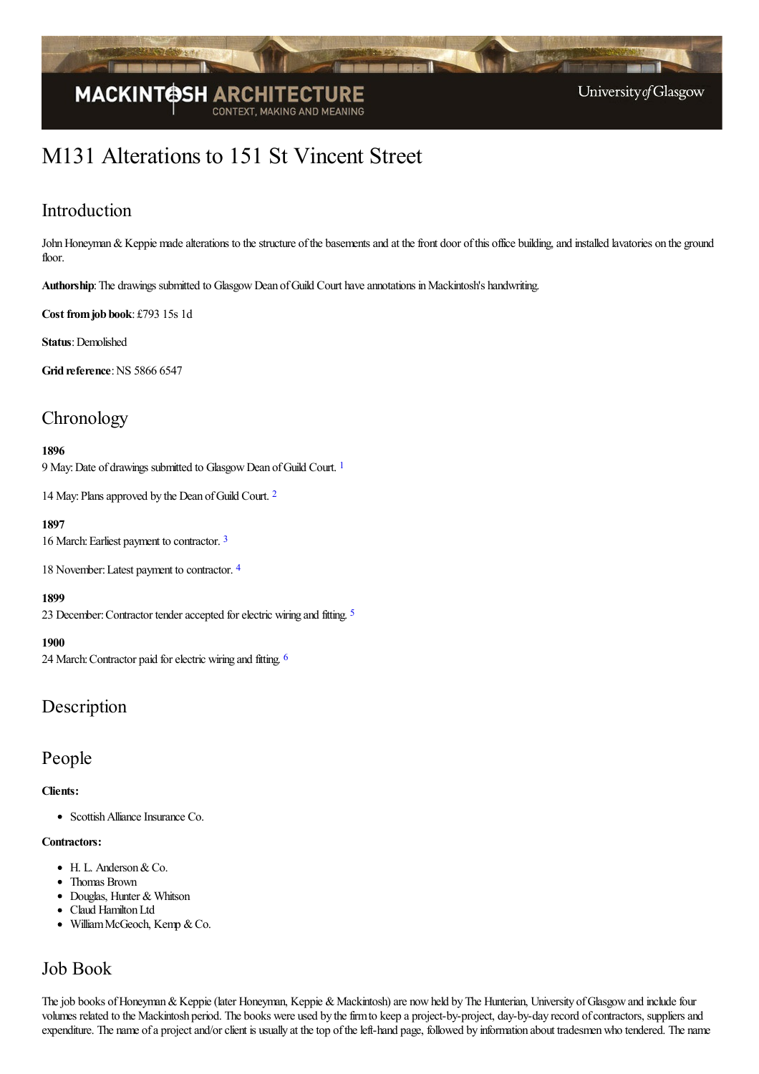

# M131 Alterations to 151 St Vincent Street

### Introduction

John Honeyman & Keppie made alterations to the structure of the basements and at the front door of this office building, and installed lavatories on the ground floor.

Authorship: The drawings submitted to Glasgow Dean of Guild Court have annotations in Mackintosh's handwriting.

**Cost fromjob book**: £793 15s 1d

**Status**: Demolished

**Grid reference: NS 5866 6547** 

### **Chronology**

### <span id="page-0-0"></span>**1896**

9 May: Date of drawings submitted to Glasgow Dean of Guild Court.<sup>[1](#page-2-0)</sup>

<span id="page-0-1"></span>14 May: Plans approved by the Dean of Guild Court. <sup>[2](#page-2-1)</sup>

### **1897**

<span id="page-0-2"></span>16 March: Earliest payment to contractor. [3](#page-2-2)

<span id="page-0-3"></span>18 November:Latest payment to contractor. [4](#page-2-3)

#### <span id="page-0-4"></span>**1899**

23 December: Contractor tender accepted for electric wiring and fitting. <sup>[5](#page-2-4)</sup>

#### <span id="page-0-5"></span>**1900**

24 March:Contractor paid forelectric wiring and fitting. [6](#page-2-5)

### Description

### People

### **Clients:**

• Scottish Alliance Insurance Co.

#### **Contractors:**

- $\bullet$  H. L. Anderson & Co.
- Thomas Brown
- Douglas, Hunter & Whitson
- Claud Hamilton Ltd
- William McGeoch, Kemp & Co.

### Job Book

The job books of Honeyman & Keppie (later Honeyman, Keppie & Mackintosh) are now held by The Hunterian, University of Glasgow and include four volumes related to the Mackintosh period. The books were used by the firm to keep a project-by-project, day-by-day record of contractors, suppliers and expenditure. The name of a project and/or client is usually at the top of the left-hand page, followed by information about tradesmen who tendered. The name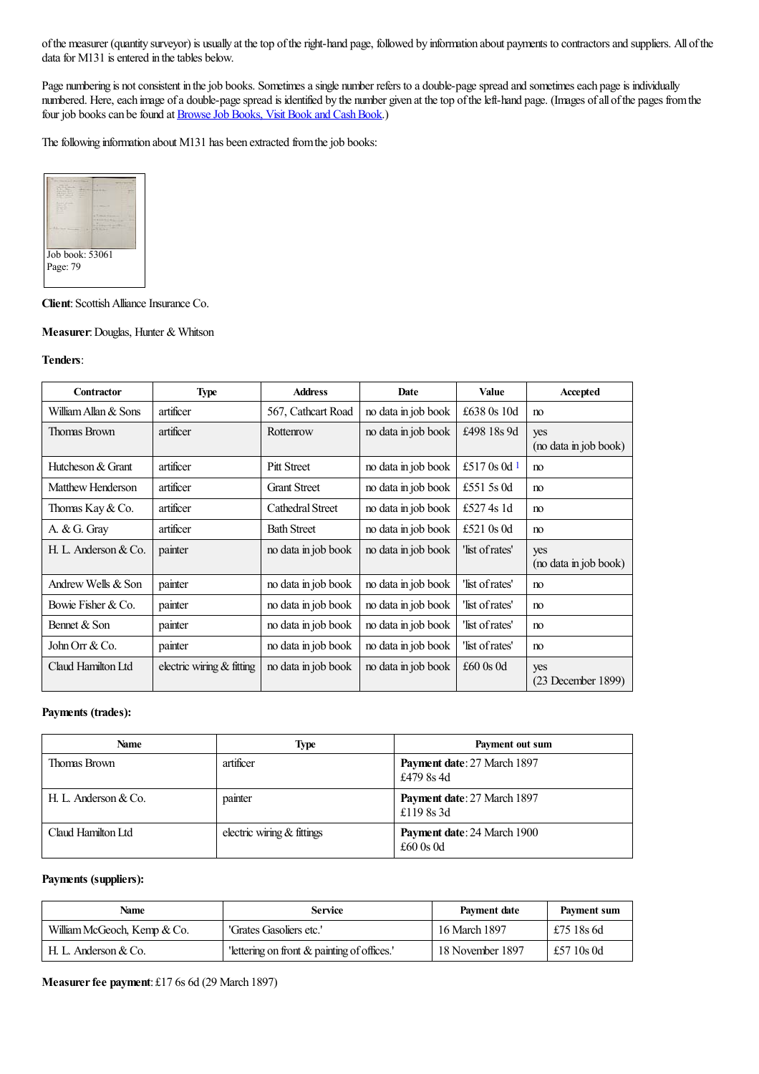of the measurer (quantity surveyor) is usually at the top of the right-hand page, followed by information about payments to contractors and suppliers. All of the data for M131 is entered in the tables below.

Page numbering is not consistent in the job books. Sometimes a single number refers to a double-page spread and sometimes each page is individually numbered. Here, each image of a double-page spread is identified by the number given at the top of the left-hand page. (Images of all of the pages from the four job books can be found at **Browse Job Books**, Visit Book and Cash Book.)

The following information about M131 has been extracted from the job books:



#### **Client**: Scottish Alliance Insurance Co.

#### **Measurer: Douglas, Hunter & Whitson**

### **Tenders**:

<span id="page-1-0"></span>

| Contractor           | <b>Type</b>               | <b>Address</b>          | <b>Date</b>         | <b>Value</b>       | Accepted                     |
|----------------------|---------------------------|-------------------------|---------------------|--------------------|------------------------------|
| William Allan & Sons | artificer                 | 567, Cathcart Road      | no data in job book | £638 0s 10d        | no                           |
| Thomas Brown         | artificer                 | Rottenrow               | no data in job book | £498 18s 9d        | yes<br>(no data in job book) |
| Hutcheson & Grant    | artificer                 | <b>Pitt Street</b>      | no data in job book | £517 0s 0d $1$     | no                           |
| Matthew Henderson    | artificer                 | <b>Grant Street</b>     | no data in job book | £551 5s 0d         | no                           |
| Thomas Kay $&$ Co.   | artificer                 | <b>Cathedral Street</b> | no data in job book | £527 4s 1d         | no                           |
| A. $& G.$ Gray       | artificer                 | <b>Bath Street</b>      | no data in job book | £521 $0s$ 0d       | no                           |
| H. L. Anderson & Co. | painter                   | no data in job book     | no data in job book | list of rates'     | yes<br>(no data in job book) |
| Andrew Wells & Son   | painter                   | no data in job book     | no data in job book | 'list of rates'    | no                           |
| Bowie Fisher & Co.   | painter                   | no data in job book     | no data in job book | 'list of rates'    | no                           |
| Bennet & Son         | painter                   | no data in job book     | no data in job book | 'list of rates'    | no                           |
| John Orr & Co.       | painter                   | no data in job book     | no data in job book | 'list of rates'    | no                           |
| Claud Hamilton Ltd   | electric wiring & fitting | no data in job book     | no data in job book | $\pounds 60$ 0s 0d | yes<br>$(23$ December 1899)  |

### **Payments (trades):**

| <b>Name</b>            | <b>Type</b>                | Payment out sum                                   |
|------------------------|----------------------------|---------------------------------------------------|
| Thomas Brown           | artificer                  | <b>Payment date: 27 March 1897</b><br>£479 8s 4d  |
| H. L. Anderson $& Co.$ | painter                    | Payment date: 27 March 1897<br>£1198s3d           |
| Claud Hamilton Ltd     | electric wiring & fittings | Payment date: 24 March 1900<br>$\pounds 60$ 0s 0d |

### **Payments (suppliers):**

| Name                        | <b>Service</b>                            | Payment date     | Payment sum |
|-----------------------------|-------------------------------------------|------------------|-------------|
| William McGeoch, Kemp & Co. | 'Grates Gasoliers etc.'                   | 16 March 1897    | £75 18s 6d  |
| H. L. Anderson $& Co.$      | lettering on front & painting of offices. | 18 November 1897 | £57 10s 0d  |

**Measurer fee payment:** £17 6s 6d (29 March 1897)